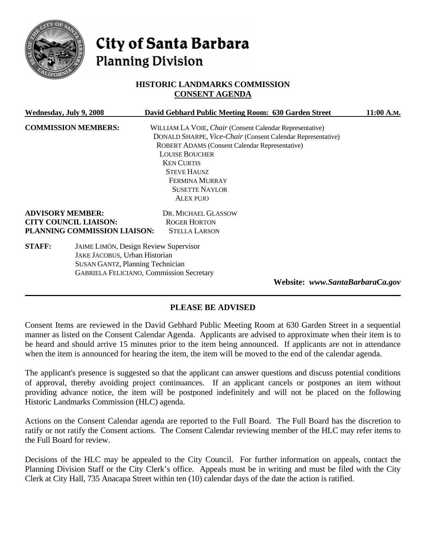

# City of Santa Barbara **Planning Division**

# **HISTORIC LANDMARKS COMMISSION CONSENT AGENDA**

| Wednesday, July 9, 2008      |                                                 | David Gebhard Public Meeting Room: 630 Garden Street        | 11:00 A.M. |
|------------------------------|-------------------------------------------------|-------------------------------------------------------------|------------|
| <b>COMMISSION MEMBERS:</b>   |                                                 | WILLIAM LA VOIE, Chair (Consent Calendar Representative)    |            |
|                              |                                                 | DONALD SHARPE, Vice-Chair (Consent Calendar Representative) |            |
|                              |                                                 | ROBERT ADAMS (Consent Calendar Representative)              |            |
|                              |                                                 | <b>LOUISE BOUCHER</b>                                       |            |
|                              |                                                 | <b>KEN CURTIS</b>                                           |            |
|                              |                                                 | <b>STEVE HAUSZ</b>                                          |            |
|                              |                                                 | <b>FERMINA MURRAY</b>                                       |            |
|                              |                                                 | <b>SUSETTE NAYLOR</b>                                       |            |
|                              |                                                 | <b>ALEX PUJO</b>                                            |            |
| <b>ADVISORY MEMBER:</b>      |                                                 | DR. MICHAEL GLASSOW                                         |            |
| <b>CITY COUNCIL LIAISON:</b> |                                                 | <b>ROGER HORTON</b>                                         |            |
| PLANNING COMMISSION LIAISON: |                                                 | <b>STELLA LARSON</b>                                        |            |
| <b>STAFF:</b>                | <b>JAIME LIMÓN, Design Review Supervisor</b>    |                                                             |            |
|                              | JAKE JACOBUS, Urban Historian                   |                                                             |            |
|                              | <b>SUSAN GANTZ, Planning Technician</b>         |                                                             |            |
|                              | <b>GABRIELA FELICIANO, Commission Secretary</b> |                                                             |            |

**Website:** *www.SantaBarbaraCa.gov* 

## **PLEASE BE ADVISED**

Consent Items are reviewed in the David Gebhard Public Meeting Room at 630 Garden Street in a sequential manner as listed on the Consent Calendar Agenda. Applicants are advised to approximate when their item is to be heard and should arrive 15 minutes prior to the item being announced. If applicants are not in attendance when the item is announced for hearing the item, the item will be moved to the end of the calendar agenda.

The applicant's presence is suggested so that the applicant can answer questions and discuss potential conditions of approval, thereby avoiding project continuances. If an applicant cancels or postpones an item without providing advance notice, the item will be postponed indefinitely and will not be placed on the following Historic Landmarks Commission (HLC) agenda.

Actions on the Consent Calendar agenda are reported to the Full Board. The Full Board has the discretion to ratify or not ratify the Consent actions. The Consent Calendar reviewing member of the HLC may refer items to the Full Board for review.

Decisions of the HLC may be appealed to the City Council. For further information on appeals, contact the Planning Division Staff or the City Clerk's office. Appeals must be in writing and must be filed with the City Clerk at City Hall, 735 Anacapa Street within ten (10) calendar days of the date the action is ratified.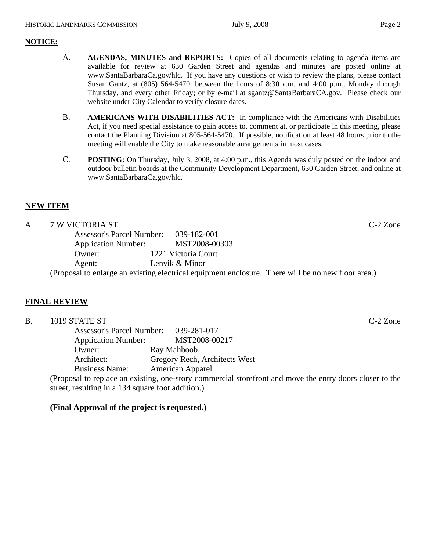#### **NOTICE:**

- A. **AGENDAS, MINUTES and REPORTS:** Copies of all documents relating to agenda items are available for review at 630 Garden Street and agendas and minutes are posted online at www.SantaBarbaraCa.gov/hlc. If you have any questions or wish to review the plans, please contact Susan Gantz, at (805) 564-5470, between the hours of 8:30 a.m. and 4:00 p.m., Monday through Thursday, and every other Friday; or by e-mail at sgantz@SantaBarbaraCA.gov. Please check our website under City Calendar to verify closure dates.
- B. **AMERICANS WITH DISABILITIES ACT:** In compliance with the Americans with Disabilities Act, if you need special assistance to gain access to, comment at, or participate in this meeting, please contact the Planning Division at 805-564-5470. If possible, notification at least 48 hours prior to the meeting will enable the City to make reasonable arrangements in most cases.
- C. **POSTING:** On Thursday, July 3, 2008, at 4:00 p.m., this Agenda was duly posted on the indoor and outdoor bulletin boards at the Community Development Department, 630 Garden Street, and online at www.SantaBarbaraCa.gov/hlc.

# **NEW ITEM**

#### A. 7 W VICTORIA ST C-2 Zone

 Assessor's Parcel Number: 039-182-001 Application Number: MST2008-00303<br>Owner: 1221 Victoria Court 1221 Victoria Court Agent: Lenvik & Minor

(Proposal to enlarge an existing electrical equipment enclosure. There will be no new floor area.)

## **FINAL REVIEW**

| <b>B.</b>                             | 1019 STATE ST              |                                                                                                           | $C-2$ Zone |
|---------------------------------------|----------------------------|-----------------------------------------------------------------------------------------------------------|------------|
| Assessor's Parcel Number: 039-281-017 |                            |                                                                                                           |            |
|                                       | <b>Application Number:</b> | MST2008-00217                                                                                             |            |
|                                       | Owner:                     | Ray Mahboob                                                                                               |            |
| Architect:                            |                            | Gregory Rech, Architects West                                                                             |            |
|                                       | <b>Business Name:</b>      | American Apparel                                                                                          |            |
|                                       |                            | (Proposal to replace an existing, one-story commercial store front and move the entry doors closer to the |            |

street, resulting in a 134 square foot addition.)

## **(Final Approval of the project is requested.)**